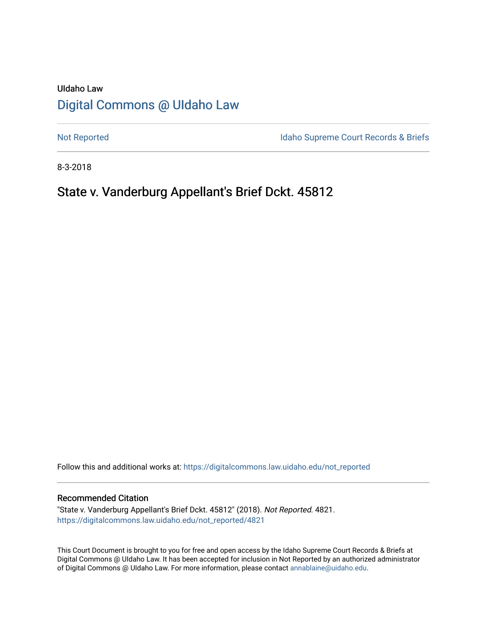# UIdaho Law [Digital Commons @ UIdaho Law](https://digitalcommons.law.uidaho.edu/)

[Not Reported](https://digitalcommons.law.uidaho.edu/not_reported) **Idaho Supreme Court Records & Briefs** 

8-3-2018

# State v. Vanderburg Appellant's Brief Dckt. 45812

Follow this and additional works at: [https://digitalcommons.law.uidaho.edu/not\\_reported](https://digitalcommons.law.uidaho.edu/not_reported?utm_source=digitalcommons.law.uidaho.edu%2Fnot_reported%2F4821&utm_medium=PDF&utm_campaign=PDFCoverPages) 

#### Recommended Citation

"State v. Vanderburg Appellant's Brief Dckt. 45812" (2018). Not Reported. 4821. [https://digitalcommons.law.uidaho.edu/not\\_reported/4821](https://digitalcommons.law.uidaho.edu/not_reported/4821?utm_source=digitalcommons.law.uidaho.edu%2Fnot_reported%2F4821&utm_medium=PDF&utm_campaign=PDFCoverPages)

This Court Document is brought to you for free and open access by the Idaho Supreme Court Records & Briefs at Digital Commons @ UIdaho Law. It has been accepted for inclusion in Not Reported by an authorized administrator of Digital Commons @ UIdaho Law. For more information, please contact [annablaine@uidaho.edu](mailto:annablaine@uidaho.edu).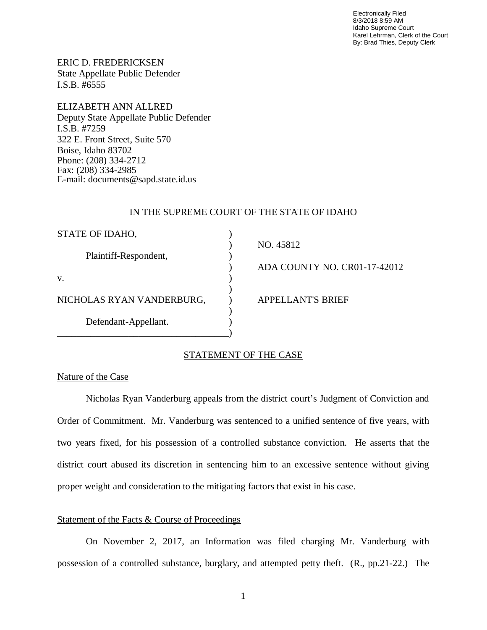Electronically Filed 8/3/2018 8:59 AM Idaho Supreme Court Karel Lehrman, Clerk of the Court By: Brad Thies, Deputy Clerk

ERIC D. FREDERICKSEN State Appellate Public Defender I.S.B. #6555

ELIZABETH ANN ALLRED Deputy State Appellate Public Defender I.S.B. #7259 322 E. Front Street, Suite 570 Boise, Idaho 83702 Phone: (208) 334-2712 Fax: (208) 334-2985 E-mail: documents@sapd.state.id.us

#### IN THE SUPREME COURT OF THE STATE OF IDAHO

| STATE OF IDAHO,           |                              |
|---------------------------|------------------------------|
| Plaintiff-Respondent,     | NO. 45812                    |
| V.                        | ADA COUNTY NO. CR01-17-42012 |
|                           |                              |
| NICHOLAS RYAN VANDERBURG, | APPELLANT'S BRIEF            |
| Defendant-Appellant.      |                              |

### STATEMENT OF THE CASE

### Nature of the Case

Nicholas Ryan Vanderburg appeals from the district court's Judgment of Conviction and Order of Commitment. Mr. Vanderburg was sentenced to a unified sentence of five years, with two years fixed, for his possession of a controlled substance conviction. He asserts that the district court abused its discretion in sentencing him to an excessive sentence without giving proper weight and consideration to the mitigating factors that exist in his case.

#### Statement of the Facts & Course of Proceedings

On November 2, 2017, an Information was filed charging Mr. Vanderburg with possession of a controlled substance, burglary, and attempted petty theft. (R., pp.21-22.) The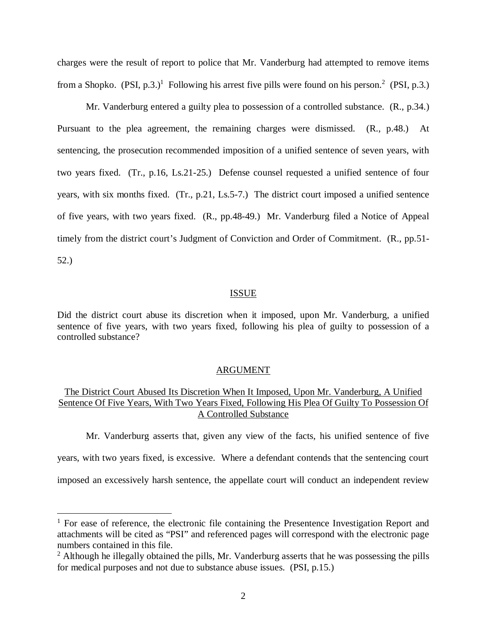charges were the result of report to police that Mr. Vanderburg had attempted to remove items from a Shopko.  $(PSI, p.3.)^1$  $(PSI, p.3.)^1$  Following his arrest five pills were found on his person.<sup>[2](#page-2-1)</sup> (PSI, p.3.)

Mr. Vanderburg entered a guilty plea to possession of a controlled substance. (R., p.34.) Pursuant to the plea agreement, the remaining charges were dismissed. (R., p.48.) At sentencing, the prosecution recommended imposition of a unified sentence of seven years, with two years fixed. (Tr., p.16, Ls.21-25.) Defense counsel requested a unified sentence of four years, with six months fixed. (Tr., p.21, Ls.5-7.) The district court imposed a unified sentence of five years, with two years fixed. (R., pp.48-49.) Mr. Vanderburg filed a Notice of Appeal timely from the district court's Judgment of Conviction and Order of Commitment. (R., pp.51- 52.)

#### ISSUE

Did the district court abuse its discretion when it imposed, upon Mr. Vanderburg, a unified sentence of five years, with two years fixed, following his plea of guilty to possession of a controlled substance?

#### ARGUMENT

## The District Court Abused Its Discretion When It Imposed, Upon Mr. Vanderburg, A Unified Sentence Of Five Years, With Two Years Fixed, Following His Plea Of Guilty To Possession Of A Controlled Substance

Mr. Vanderburg asserts that, given any view of the facts, his unified sentence of five years, with two years fixed, is excessive. Where a defendant contends that the sentencing court

imposed an excessively harsh sentence, the appellate court will conduct an independent review

<span id="page-2-0"></span> $1$  For ease of reference, the electronic file containing the Presentence Investigation Report and attachments will be cited as "PSI" and referenced pages will correspond with the electronic page numbers contained in this file.

<span id="page-2-1"></span> $2$  Although he illegally obtained the pills, Mr. Vanderburg asserts that he was possessing the pills for medical purposes and not due to substance abuse issues. (PSI, p.15.)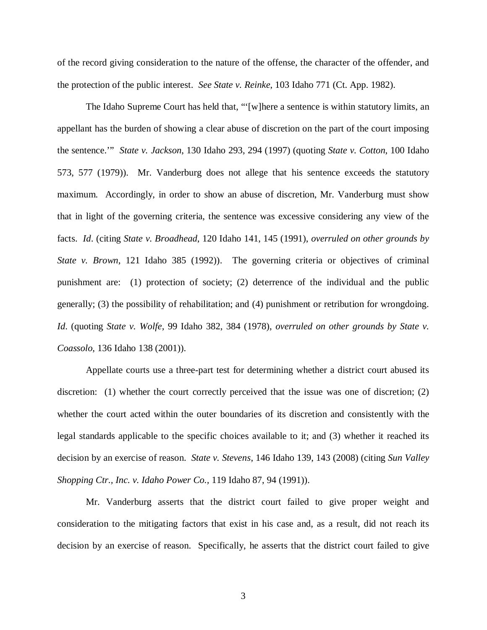of the record giving consideration to the nature of the offense, the character of the offender, and the protection of the public interest. *See State v. Reinke*, 103 Idaho 771 (Ct. App. 1982).

The Idaho Supreme Court has held that, "'[w]here a sentence is within statutory limits, an appellant has the burden of showing a clear abuse of discretion on the part of the court imposing the sentence.'" *State v. Jackson*, 130 Idaho 293, 294 (1997) (quoting *State v. Cotton*, 100 Idaho 573, 577 (1979)). Mr. Vanderburg does not allege that his sentence exceeds the statutory maximum. Accordingly, in order to show an abuse of discretion, Mr. Vanderburg must show that in light of the governing criteria, the sentence was excessive considering any view of the facts. *Id*. (citing *State v. Broadhead*, 120 Idaho 141, 145 (1991), *overruled on other grounds by State v. Brown*, 121 Idaho 385 (1992)). The governing criteria or objectives of criminal punishment are: (1) protection of society; (2) deterrence of the individual and the public generally; (3) the possibility of rehabilitation; and (4) punishment or retribution for wrongdoing. *Id*. (quoting *State v. Wolfe*, 99 Idaho 382, 384 (1978), *overruled on other grounds by State v. Coassolo*, 136 Idaho 138 (2001)).

Appellate courts use a three-part test for determining whether a district court abused its discretion: (1) whether the court correctly perceived that the issue was one of discretion; (2) whether the court acted within the outer boundaries of its discretion and consistently with the legal standards applicable to the specific choices available to it; and (3) whether it reached its decision by an exercise of reason. *State v. Stevens*, 146 Idaho 139, 143 (2008) (citing *[Sun Valley](https://a.next.westlaw.com/Link/Document/FullText?findType=Y&serNum=1991020453&pubNum=661&originatingDoc=Ib1fc665a58e011ddbc7bf97f340af743&refType=RP&fi=co_pp_sp_661_1000&originationContext=document&transitionType=DocumentItem&contextData=(sc.Folder*cid.e4ef799cd44b4f4184ec493464b042f9*oc.Search)#co_pp_sp_661_1000) [Shopping Ctr., Inc. v. Idaho Power Co.,](https://a.next.westlaw.com/Link/Document/FullText?findType=Y&serNum=1991020453&pubNum=661&originatingDoc=Ib1fc665a58e011ddbc7bf97f340af743&refType=RP&fi=co_pp_sp_661_1000&originationContext=document&transitionType=DocumentItem&contextData=(sc.Folder*cid.e4ef799cd44b4f4184ec493464b042f9*oc.Search)#co_pp_sp_661_1000)* 119 Idaho 87, 94 (1991)).

Mr. Vanderburg asserts that the district court failed to give proper weight and consideration to the mitigating factors that exist in his case and, as a result, did not reach its decision by an exercise of reason. Specifically, he asserts that the district court failed to give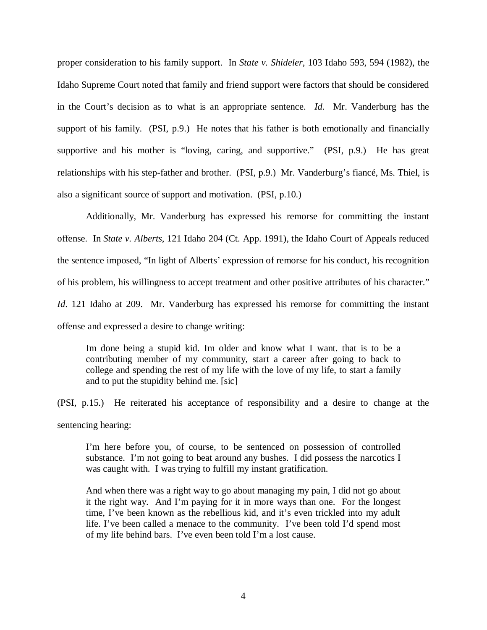proper consideration to his family support. In *State v. Shideler*, 103 Idaho 593, 594 (1982), the Idaho Supreme Court noted that family and friend support were factors that should be considered in the Court's decision as to what is an appropriate sentence. *Id.* Mr. Vanderburg has the support of his family. (PSI, p.9.) He notes that his father is both emotionally and financially supportive and his mother is "loving, caring, and supportive." (PSI, p.9.) He has great relationships with his step-father and brother. (PSI, p.9.) Mr. Vanderburg's fiancé, Ms. Thiel, is also a significant source of support and motivation. (PSI, p.10.)

Additionally, Mr. Vanderburg has expressed his remorse for committing the instant offense. In *State v. Alberts*, 121 Idaho 204 (Ct. App. 1991), the Idaho Court of Appeals reduced the sentence imposed, "In light of Alberts' expression of remorse for his conduct, his recognition of his problem, his willingness to accept treatment and other positive attributes of his character." *Id.* 121 Idaho at 209. Mr. Vanderburg has expressed his remorse for committing the instant offense and expressed a desire to change writing:

Im done being a stupid kid. Im older and know what I want. that is to be a contributing member of my community, start a career after going to back to college and spending the rest of my life with the love of my life, to start a family and to put the stupidity behind me. [sic]

(PSI, p.15.) He reiterated his acceptance of responsibility and a desire to change at the sentencing hearing:

I'm here before you, of course, to be sentenced on possession of controlled substance. I'm not going to beat around any bushes. I did possess the narcotics I was caught with. I was trying to fulfill my instant gratification.

And when there was a right way to go about managing my pain, I did not go about it the right way. And I'm paying for it in more ways than one. For the longest time, I've been known as the rebellious kid, and it's even trickled into my adult life. I've been called a menace to the community. I've been told I'd spend most of my life behind bars. I've even been told I'm a lost cause.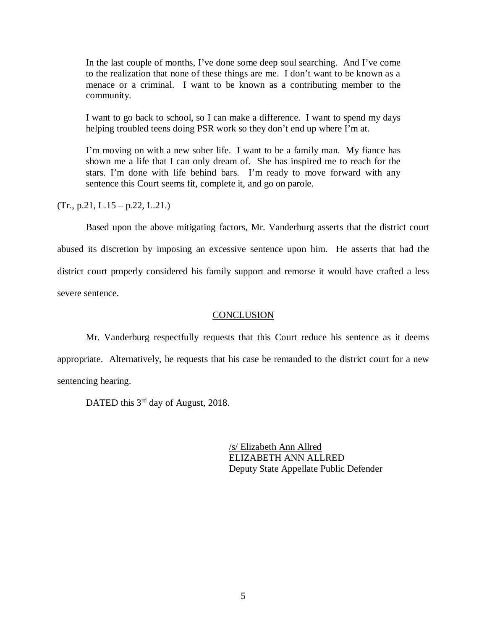In the last couple of months, I've done some deep soul searching. And I've come to the realization that none of these things are me. I don't want to be known as a menace or a criminal. I want to be known as a contributing member to the community.

I want to go back to school, so I can make a difference. I want to spend my days helping troubled teens doing PSR work so they don't end up where I'm at.

I'm moving on with a new sober life. I want to be a family man. My fiance has shown me a life that I can only dream of. She has inspired me to reach for the stars. I'm done with life behind bars. I'm ready to move forward with any sentence this Court seems fit, complete it, and go on parole.

 $(Tr., p.21, L.15 - p.22, L.21.)$ 

Based upon the above mitigating factors, Mr. Vanderburg asserts that the district court abused its discretion by imposing an excessive sentence upon him. He asserts that had the district court properly considered his family support and remorse it would have crafted a less severe sentence.

#### **CONCLUSION**

Mr. Vanderburg respectfully requests that this Court reduce his sentence as it deems appropriate. Alternatively, he requests that his case be remanded to the district court for a new sentencing hearing.

DATED this 3<sup>rd</sup> day of August, 2018.

/s/ Elizabeth Ann Allred ELIZABETH ANN ALLRED Deputy State Appellate Public Defender